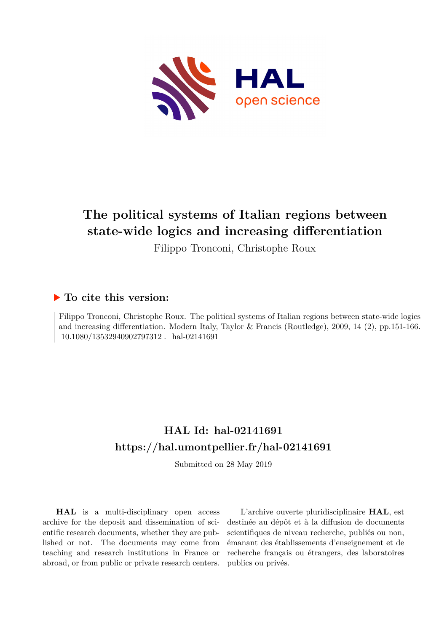

# **The political systems of Italian regions between state-wide logics and increasing differentiation**

Filippo Tronconi, Christophe Roux

# **To cite this version:**

Filippo Tronconi, Christophe Roux. The political systems of Italian regions between state-wide logics and increasing differentiation. Modern Italy, Taylor & Francis (Routledge), 2009, 14 (2), pp.151-166.  $10.1080/13532940902797312$  . hal-02141691

# **HAL Id: hal-02141691 <https://hal.umontpellier.fr/hal-02141691>**

Submitted on 28 May 2019

**HAL** is a multi-disciplinary open access archive for the deposit and dissemination of scientific research documents, whether they are published or not. The documents may come from teaching and research institutions in France or abroad, or from public or private research centers.

L'archive ouverte pluridisciplinaire **HAL**, est destinée au dépôt et à la diffusion de documents scientifiques de niveau recherche, publiés ou non, émanant des établissements d'enseignement et de recherche français ou étrangers, des laboratoires publics ou privés.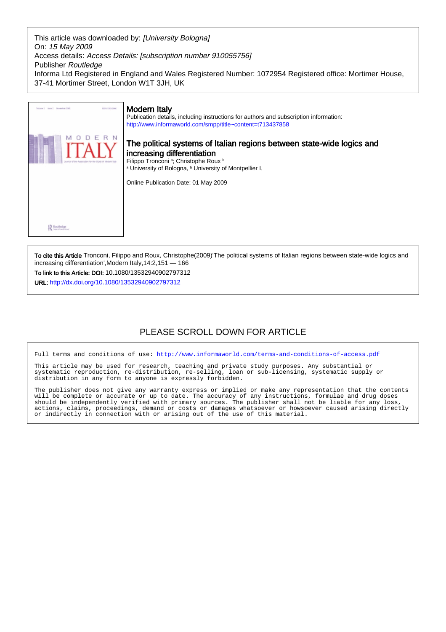This article was downloaded by: [University Bologna] On: 15 May 2009 Access details: Access Details: [subscription number 910055756] Publisher Routledge Informa Ltd Registered in England and Wales Registered Number: 1072954 Registered office: Mortimer House, 37-41 Mortimer Street, London W1T 3JH, UK



To cite this Article Tronconi, Filippo and Roux, Christophe(2009)'The political systems of Italian regions between state-wide logics and increasing differentiation',Modern Italy,14:2,151 — 166

To link to this Article: DOI: 10.1080/13532940902797312

URL: <http://dx.doi.org/10.1080/13532940902797312>

# PLEASE SCROLL DOWN FOR ARTICLE

Full terms and conditions of use:<http://www.informaworld.com/terms-and-conditions-of-access.pdf>

This article may be used for research, teaching and private study purposes. Any substantial or systematic reproduction, re-distribution, re-selling, loan or sub-licensing, systematic supply or distribution in any form to anyone is expressly forbidden.

The publisher does not give any warranty express or implied or make any representation that the contents will be complete or accurate or up to date. The accuracy of any instructions, formulae and drug doses should be independently verified with primary sources. The publisher shall not be liable for any loss, actions, claims, proceedings, demand or costs or damages whatsoever or howsoever caused arising directly or indirectly in connection with or arising out of the use of this material.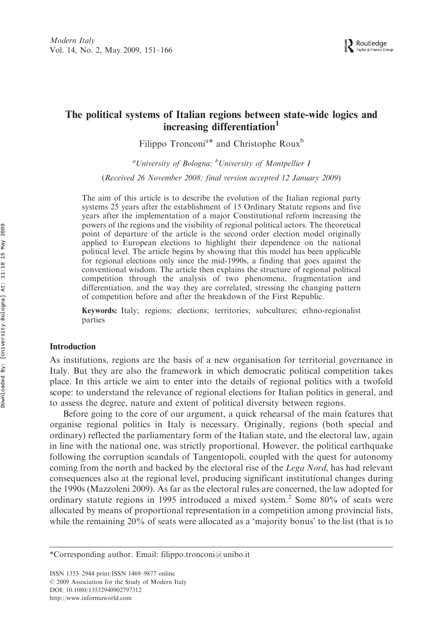# The political systems of Italian regions between state-wide logics and increasing differentiation<sup>1</sup>

Filippo Tronconi<sup>a\*</sup> and Christophe Roux<sup>b</sup>

<sup>a</sup>University of Bologna; <sup>b</sup>University of Montpellier 1

(Received 26 November 2008; final version accepted 12 January 2009)

The aim of this article is to describe the evolution of the Italian regional party systems 25 years after the establishment of 15 Ordinary Statute regions and five years after the implementation of a major Constitutional reform increasing the powers of the regions and the visibility of regional political actors. The theoretical point of departure of the article is the second order election model originally applied to European elections to highlight their dependence on the national political level. The article begins by showing that this model has been applicable for regional elections only since the mid-1990s, a finding that goes against the conventional wisdom. The article then explains the structure of regional political competition through the analysis of two phenomena, fragmentation and differentiation, and the way they are correlated, stressing the changing pattern of competition before and after the breakdown of the First Republic.

Keywords: Italy; regions; elections; territories; subcultures; ethno-regionalist parties

### Introduction

As institutions, regions are the basis of a new organisation for territorial governance in Italy. But they are also the framework in which democratic political competition takes place. In this article we aim to enter into the details of regional politics with a twofold scope: to understand the relevance of regional elections for Italian politics in general, and to assess the degree, nature and extent of political diversity between regions.

Before going to the core of our argument, a quick rehearsal of the main features that organise regional politics in Italy is necessary. Originally, regions (both special and ordinary) reflected the parliamentary form of the Italian state, and the electoral law, again in line with the national one, was strictly proportional. However, the political earthquake following the corruption scandals of Tangentopoli, coupled with the quest for autonomy coming from the north and backed by the electoral rise of the *Lega Nord*, has had relevant consequences also at the regional level, producing significant institutional changes during the 1990s (Mazzoleni 2009). As far as the electoral rules are concerned, the law adopted for ordinary statute regions in 1995 introduced a mixed system.<sup>2</sup> Some 80% of seats were allocated by means of proportional representation in a competition among provincial lists, while the remaining 20% of seats were allocated as a 'majority bonus' to the list (that is to

ISSN 1353–2944 print/ISSN 1469–9877 online  $O$  2009 Association for the Study of Modern Italy DOI: 10.1080/13532940902797312 http://www.informaworld.com

<sup>\*</sup>Corresponding author. Email: filippo.tronconi@unibo.it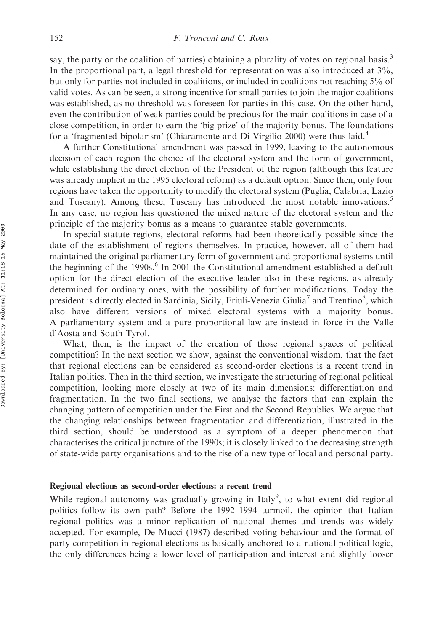say, the party or the coalition of parties) obtaining a plurality of votes on regional basis.<sup>3</sup> In the proportional part, a legal threshold for representation was also introduced at 3%, but only for parties not included in coalitions, or included in coalitions not reaching 5% of valid votes. As can be seen, a strong incentive for small parties to join the major coalitions was established, as no threshold was foreseen for parties in this case. On the other hand, even the contribution of weak parties could be precious for the main coalitions in case of a close competition, in order to earn the 'big prize' of the majority bonus. The foundations for a 'fragmented bipolarism' (Chiaramonte and Di Virgilio 2000) were thus laid.<sup>4</sup>

A further Constitutional amendment was passed in 1999, leaving to the autonomous decision of each region the choice of the electoral system and the form of government, while establishing the direct election of the President of the region (although this feature was already implicit in the 1995 electoral reform) as a default option. Since then, only four regions have taken the opportunity to modify the electoral system (Puglia, Calabria, Lazio and Tuscany). Among these, Tuscany has introduced the most notable innovations.<sup>5</sup> In any case, no region has questioned the mixed nature of the electoral system and the principle of the majority bonus as a means to guarantee stable governments.

In special statute regions, electoral reforms had been theoretically possible since the date of the establishment of regions themselves. In practice, however, all of them had maintained the original parliamentary form of government and proportional systems until the beginning of the 1990s.<sup>6</sup> In 2001 the Constitutional amendment established a default option for the direct election of the executive leader also in these regions, as already determined for ordinary ones, with the possibility of further modifications. Today the president is directly elected in Sardinia, Sicily, Friuli-Venezia Giulia<sup>7</sup> and Trentino<sup>8</sup>, which also have different versions of mixed electoral systems with a majority bonus. A parliamentary system and a pure proportional law are instead in force in the Valle d'Aosta and South Tyrol.

What, then, is the impact of the creation of those regional spaces of political competition? In the next section we show, against the conventional wisdom, that the fact that regional elections can be considered as second-order elections is a recent trend in Italian politics. Then in the third section, we investigate the structuring of regional political competition, looking more closely at two of its main dimensions: differentiation and fragmentation. In the two final sections, we analyse the factors that can explain the changing pattern of competition under the First and the Second Republics. We argue that the changing relationships between fragmentation and differentiation, illustrated in the third section, should be understood as a symptom of a deeper phenomenon that characterises the critical juncture of the 1990s; it is closely linked to the decreasing strength of state-wide party organisations and to the rise of a new type of local and personal party.

## Regional elections as second-order elections: a recent trend

While regional autonomy was gradually growing in Italy<sup>9</sup>, to what extent did regional politics follow its own path? Before the 1992–1994 turmoil, the opinion that Italian regional politics was a minor replication of national themes and trends was widely accepted. For example, De Mucci (1987) described voting behaviour and the format of party competition in regional elections as basically anchored to a national political logic, the only differences being a lower level of participation and interest and slightly looser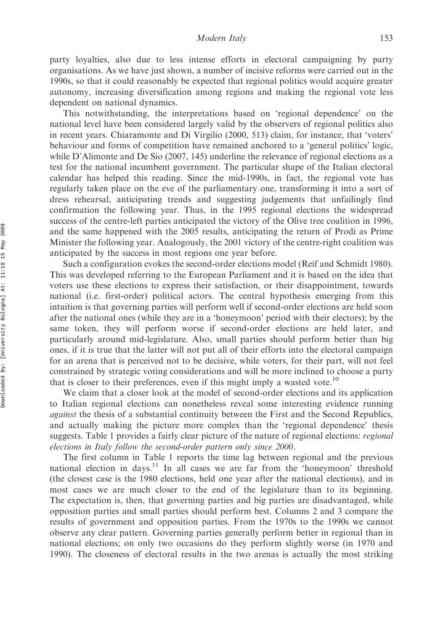party loyalties, also due to less intense efforts in electoral campaigning by party organisations. As we have just shown, a number of incisive reforms were carried out in the 1990s, so that it could reasonably be expected that regional politics would acquire greater autonomy, increasing diversification among regions and making the regional vote less dependent on national dynamics.

This notwithstanding, the interpretations based on 'regional dependence' on the national level have been considered largely valid by the observers of regional politics also in recent years. Chiaramonte and Di Virgilio (2000, 513) claim, for instance, that 'voters' behaviour and forms of competition have remained anchored to a 'general politics' logic, while D'Alimonte and De Sio (2007, 145) underline the relevance of regional elections as a test for the national incumbent government. The particular shape of the Italian electoral calendar has helped this reading. Since the mid-1990s, in fact, the regional vote has regularly taken place on the eve of the parliamentary one, transforming it into a sort of dress rehearsal, anticipating trends and suggesting judgements that unfailingly find confirmation the following year. Thus, in the 1995 regional elections the widespread success of the centre-left parties anticipated the victory of the Olive tree coalition in 1996, and the same happened with the 2005 results, anticipating the return of Prodi as Prime Minister the following year. Analogously, the 2001 victory of the centre-right coalition was anticipated by the success in most regions one year before.

Such a configuration evokes the second-order elections model (Reif and Schmidt 1980). This was developed referring to the European Parliament and it is based on the idea that voters use these elections to express their satisfaction, or their disappointment, towards national (i.e. first-order) political actors. The central hypothesis emerging from this intuition is that governing parties will perform well if second-order elections are held soon after the national ones (while they are in a 'honeymoon' period with their electors); by the same token, they will perform worse if second-order elections are held later, and particularly around mid-legislature. Also, small parties should perform better than big ones, if it is true that the latter will not put all of their efforts into the electoral campaign for an arena that is perceived not to be decisive, while voters, for their part, will not feel constrained by strategic voting considerations and will be more inclined to choose a party that is closer to their preferences, even if this might imply a wasted vote.<sup>10</sup>

We claim that a closer look at the model of second-order elections and its application to Italian regional elections can nonetheless reveal some interesting evidence running against the thesis of a substantial continuity between the First and the Second Republics, and actually making the picture more complex than the 'regional dependence' thesis suggests. Table 1 provides a fairly clear picture of the nature of regional elections: *regional* elections in Italy follow the second-order pattern only since 2000.

The first column in Table 1 reports the time lag between regional and the previous national election in days.<sup>11</sup> In all cases we are far from the 'honeymoon' threshold (the closest case is the 1980 elections, held one year after the national elections), and in most cases we are much closer to the end of the legislature than to its beginning. The expectation is, then, that governing parties and big parties are disadvantaged, while opposition parties and small parties should perform best. Columns 2 and 3 compare the results of government and opposition parties. From the 1970s to the 1990s we cannot observe any clear pattern. Governing parties generally perform better in regional than in national elections; on only two occasions do they perform slightly worse (in 1970 and 1990). The closeness of electoral results in the two arenas is actually the most striking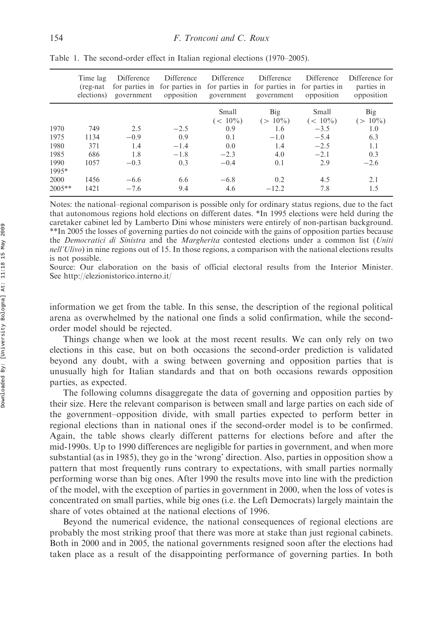|               | Time lag<br>(reg-nat)<br>elections) | Difference<br>government | Difference<br>opposition | Difference<br>government | Difference<br>for parties in for parties in for parties in for parties in for parties in<br>government | <b>Difference</b><br>opposition | Difference for<br>parties in<br>opposition |
|---------------|-------------------------------------|--------------------------|--------------------------|--------------------------|--------------------------------------------------------------------------------------------------------|---------------------------------|--------------------------------------------|
|               |                                     |                          |                          | Small<br>$\leq 10\%$     | Big<br>$(> 10\%)$                                                                                      | Small<br>$(< 10\%)$             | Big<br>$(> 10\%)$                          |
| 1970          | 749                                 | 2.5                      | $-2.5$                   | 0.9                      | 1.6                                                                                                    | $-3.5$                          | 1.0                                        |
| 1975          | 1134                                | $-0.9$                   | 0.9                      | 0.1                      | $-1.0$                                                                                                 | $-5.4$                          | 6.3                                        |
| 1980          | 371                                 | 1.4                      | $-1.4$                   | 0.0                      | 1.4                                                                                                    | $-2.5$                          | 1.1                                        |
| 1985          | 686                                 | 1.8                      | $-1.8$                   | $-2.3$                   | 4.0                                                                                                    | $-2.1$                          | 0.3                                        |
| 1990<br>1995* | 1057                                | $-0.3$                   | 0.3                      | $-0.4$                   | 0.1                                                                                                    | 2.9                             | $-2.6$                                     |
| 2000          | 1456                                | $-6.6$                   | 6.6                      | $-6.8$                   | 0.2                                                                                                    | 4.5                             | 2.1                                        |
| $2005**$      | 1421                                | $-7.6$                   | 9.4                      | 4.6                      | $-12.2$                                                                                                | 7.8                             | 1.5                                        |

Table 1. The second-order effect in Italian regional elections (1970–2005).

Notes: the national–regional comparison is possible only for ordinary status regions, due to the fact that autonomous regions hold elections on different dates. \*In 1995 elections were held during the caretaker cabinet led by Lamberto Dini whose ministers were entirely of non-partisan background. \*\*In 2005 the losses of governing parties do not coincide with the gains of opposition parties because the Democratici di Sinistra and the Margherita contested elections under a common list (Uniti nell'Ulivo) in nine regions out of 15. In those regions, a comparison with the national elections results is not possible.

Source: Our elaboration on the basis of official electoral results from the Interior Minister. See http://elezionistorico.interno.it/

information we get from the table. In this sense, the description of the regional political arena as overwhelmed by the national one finds a solid confirmation, while the secondorder model should be rejected.

Things change when we look at the most recent results. We can only rely on two elections in this case, but on both occasions the second-order prediction is validated beyond any doubt, with a swing between governing and opposition parties that is unusually high for Italian standards and that on both occasions rewards opposition parties, as expected.

The following columns disaggregate the data of governing and opposition parties by their size. Here the relevant comparison is between small and large parties on each side of the government–opposition divide, with small parties expected to perform better in regional elections than in national ones if the second-order model is to be confirmed. Again, the table shows clearly different patterns for elections before and after the mid-1990s. Up to 1990 differences are negligible for parties in government, and when more substantial (as in 1985), they go in the 'wrong' direction. Also, parties in opposition show a pattern that most frequently runs contrary to expectations, with small parties normally performing worse than big ones. After 1990 the results move into line with the prediction of the model, with the exception of parties in government in 2000, when the loss of votes is concentrated on small parties, while big ones (i.e. the Left Democrats) largely maintain the share of votes obtained at the national elections of 1996.

Beyond the numerical evidence, the national consequences of regional elections are probably the most striking proof that there was more at stake than just regional cabinets. Both in 2000 and in 2005, the national governments resigned soon after the elections had taken place as a result of the disappointing performance of governing parties. In both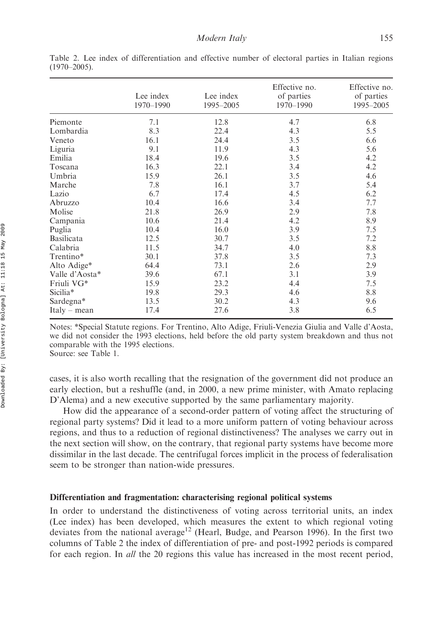|                   | Lee index<br>1970-1990 | Lee index<br>1995-2005 | Effective no.<br>of parties<br>1970-1990 | Effective no.<br>of parties<br>1995-2005 |
|-------------------|------------------------|------------------------|------------------------------------------|------------------------------------------|
| Piemonte          | 7.1                    | 12.8                   | 4.7                                      | 6.8                                      |
| Lombardia         | 8.3                    | 22.4                   | 4.3                                      | 5.5                                      |
| Veneto            | 16.1                   | 24.4                   | 3.5                                      | 6.6                                      |
| Liguria           | 9.1                    | 11.9                   | 4.3                                      | 5.6                                      |
| Emilia            | 18.4                   | 19.6                   | 3.5                                      | 4.2                                      |
| Toscana           | 16.3                   | 22.1                   | 3.4                                      | 4.2                                      |
| Umbria            | 15.9                   | 26.1                   | 3.5                                      | 4.6                                      |
| Marche            | 7.8                    | 16.1                   | 3.7                                      | 5.4                                      |
| Lazio             | 6.7                    | 17.4                   | 4.5                                      | 6.2                                      |
| Abruzzo           | 10.4                   | 16.6                   | 3.4                                      | 7.7                                      |
| Molise            | 21.8                   | 26.9                   | 2.9                                      | 7.8                                      |
| Campania          | 10.6                   | 21.4                   | 4.2                                      | 8.9                                      |
| Puglia            | 10.4                   | 16.0                   | 3.9                                      | 7.5                                      |
| <b>Basilicata</b> | 12.5                   | 30.7                   | 3.5                                      | 7.2                                      |
| Calabria          | 11.5                   | 34.7                   | 4.0                                      | 8.8                                      |
| Trentino*         | 30.1                   | 37.8                   | 3.5                                      | 7.3                                      |
| Alto Adige*       | 64.4                   | 73.1                   | 2.6                                      | 2.9                                      |
| Valle d'Aosta*    | 39.6                   | 67.1                   | 3.1                                      | 3.9                                      |
| Friuli VG*        | 15.9                   | 23.2                   | 4.4                                      | 7.5                                      |
| Sicilia*          | 19.8                   | 29.3                   | 4.6                                      | 8.8                                      |
| Sardegna*         | 13.5                   | 30.2                   | 4.3                                      | 9.6                                      |
| $Italy - mean$    | 17.4                   | 27.6                   | 3.8                                      | 6.5                                      |

Table 2. Lee index of differentiation and effective number of electoral parties in Italian regions  $(1970-2005)$ .

Notes: \*Special Statute regions. For Trentino, Alto Adige, Friuli-Venezia Giulia and Valle d'Aosta, we did not consider the 1993 elections, held before the old party system breakdown and thus not comparable with the 1995 elections. Source: see Table 1.

cases, it is also worth recalling that the resignation of the government did not produce an early election, but a reshuffle (and, in 2000, a new prime minister, with Amato replacing D'Alema) and a new executive supported by the same parliamentary majority.

How did the appearance of a second-order pattern of voting affect the structuring of regional party systems? Did it lead to a more uniform pattern of voting behaviour across regions, and thus to a reduction of regional distinctiveness? The analyses we carry out in the next section will show, on the contrary, that regional party systems have become more dissimilar in the last decade. The centrifugal forces implicit in the process of federalisation seem to be stronger than nation-wide pressures.

## Differentiation and fragmentation: characterising regional political systems

In order to understand the distinctiveness of voting across territorial units, an index (Lee index) has been developed, which measures the extent to which regional voting deviates from the national average<sup>12</sup> (Hearl, Budge, and Pearson 1996). In the first two columns of Table 2 the index of differentiation of pre- and post-1992 periods is compared for each region. In *all* the 20 regions this value has increased in the most recent period,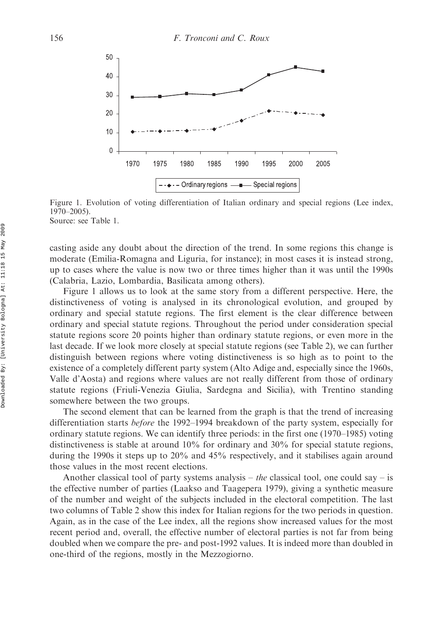

Figure 1. Evolution of voting differentiation of Italian ordinary and special regions (Lee index, 1970–2005). Source: see Table 1.

casting aside any doubt about the direction of the trend. In some regions this change is moderate (Emilia-Romagna and Liguria, for instance); in most cases it is instead strong, up to cases where the value is now two or three times higher than it was until the 1990s (Calabria, Lazio, Lombardia, Basilicata among others).

Figure 1 allows us to look at the same story from a different perspective. Here, the distinctiveness of voting is analysed in its chronological evolution, and grouped by ordinary and special statute regions. The first element is the clear difference between ordinary and special statute regions. Throughout the period under consideration special statute regions score 20 points higher than ordinary statute regions, or even more in the last decade. If we look more closely at special statute regions (see Table 2), we can further distinguish between regions where voting distinctiveness is so high as to point to the existence of a completely different party system (Alto Adige and, especially since the 1960s, Valle d'Aosta) and regions where values are not really different from those of ordinary statute regions (Friuli-Venezia Giulia, Sardegna and Sicilia), with Trentino standing somewhere between the two groups.

The second element that can be learned from the graph is that the trend of increasing differentiation starts before the 1992–1994 breakdown of the party system, especially for ordinary statute regions. We can identify three periods: in the first one (1970–1985) voting distinctiveness is stable at around 10% for ordinary and 30% for special statute regions, during the 1990s it steps up to 20% and 45% respectively, and it stabilises again around those values in the most recent elections.

Another classical tool of party systems analysis – the classical tool, one could say – is the effective number of parties (Laakso and Taagepera 1979), giving a synthetic measure of the number and weight of the subjects included in the electoral competition. The last two columns of Table 2 show this index for Italian regions for the two periods in question. Again, as in the case of the Lee index, all the regions show increased values for the most recent period and, overall, the effective number of electoral parties is not far from being doubled when we compare the pre- and post-1992 values. It is indeed more than doubled in one-third of the regions, mostly in the Mezzogiorno.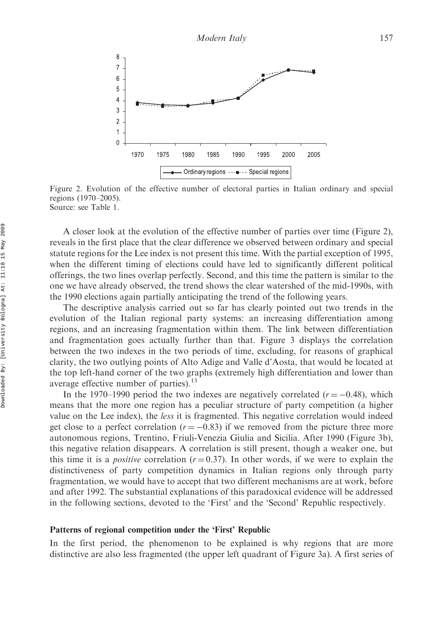

Figure 2. Evolution of the effective number of electoral parties in Italian ordinary and special regions (1970–2005). Source: see Table 1.

A closer look at the evolution of the effective number of parties over time (Figure 2), reveals in the first place that the clear difference we observed between ordinary and special statute regions for the Lee index is not present this time. With the partial exception of 1995, when the different timing of elections could have led to significantly different political offerings, the two lines overlap perfectly. Second, and this time the pattern is similar to the one we have already observed, the trend shows the clear watershed of the mid-1990s, with the 1990 elections again partially anticipating the trend of the following years.

The descriptive analysis carried out so far has clearly pointed out two trends in the evolution of the Italian regional party systems: an increasing differentiation among regions, and an increasing fragmentation within them. The link between differentiation and fragmentation goes actually further than that. Figure 3 displays the correlation between the two indexes in the two periods of time, excluding, for reasons of graphical clarity, the two outlying points of Alto Adige and Valle d'Aosta, that would be located at the top left-hand corner of the two graphs (extremely high differentiation and lower than average effective number of parties).<sup>13</sup>

In the 1970–1990 period the two indexes are negatively correlated  $(r = -0.48)$ , which means that the more one region has a peculiar structure of party competition (a higher value on the Lee index), the *less* it is fragmented. This negative correlation would indeed get close to a perfect correlation ( $r = -0.83$ ) if we removed from the picture three more autonomous regions, Trentino, Friuli-Venezia Giulia and Sicilia. After 1990 (Figure 3b), this negative relation disappears. A correlation is still present, though a weaker one, but this time it is a *positive* correlation  $(r = 0.37)$ . In other words, if we were to explain the distinctiveness of party competition dynamics in Italian regions only through party fragmentation, we would have to accept that two different mechanisms are at work, before and after 1992. The substantial explanations of this paradoxical evidence will be addressed in the following sections, devoted to the 'First' and the 'Second' Republic respectively.

#### Patterns of regional competition under the 'First' Republic

In the first period, the phenomenon to be explained is why regions that are more distinctive are also less fragmented (the upper left quadrant of Figure 3a). A first series of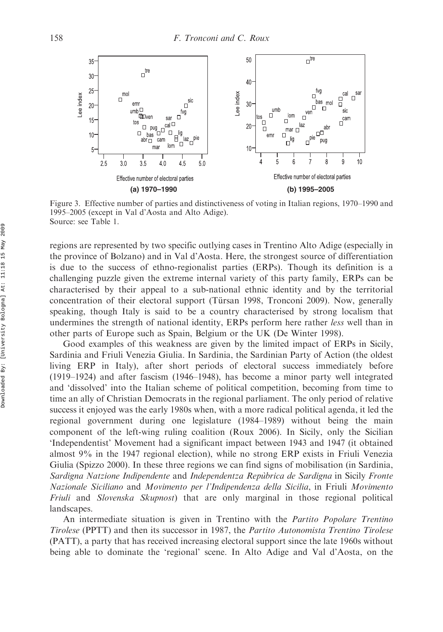

Figure 3. Effective number of parties and distinctiveness of voting in Italian regions, 1970–1990 and 1995–2005 (except in Val d'Aosta and Alto Adige). Source: see Table 1.

regions are represented by two specific outlying cases in Trentino Alto Adige (especially in the province of Bolzano) and in Val d'Aosta. Here, the strongest source of differentiation is due to the success of ethno-regionalist parties (ERPs). Though its definition is a challenging puzzle given the extreme internal variety of this party family, ERPs can be characterised by their appeal to a sub-national ethnic identity and by the territorial concentration of their electoral support (Türsan 1998, Tronconi 2009). Now, generally speaking, though Italy is said to be a country characterised by strong localism that undermines the strength of national identity, ERPs perform here rather less well than in other parts of Europe such as Spain, Belgium or the UK (De Winter 1998).

Good examples of this weakness are given by the limited impact of ERPs in Sicily, Sardinia and Friuli Venezia Giulia. In Sardinia, the Sardinian Party of Action (the oldest living ERP in Italy), after short periods of electoral success immediately before (1919–1924) and after fascism (1946–1948), has become a minor party well integrated and 'dissolved' into the Italian scheme of political competition, becoming from time to time an ally of Christian Democrats in the regional parliament. The only period of relative success it enjoyed was the early 1980s when, with a more radical political agenda, it led the regional government during one legislature (1984–1989) without being the main component of the left-wing ruling coalition (Roux 2006). In Sicily, only the Sicilian 'Independentist' Movement had a significant impact between 1943 and 1947 (it obtained almost 9% in the 1947 regional election), while no strong ERP exists in Friuli Venezia Giulia (Spizzo 2000). In these three regions we can find signs of mobilisation (in Sardinia, Sardigna Natzione Indipendente and Independentza Repubrica de Sardigna in Sicily Fronte Nazionale Siciliano and Movimento per l'Indipendenza della Sicilia, in Friuli Movimento Friuli and Slovenska Skupnost) that are only marginal in those regional political landscapes.

An intermediate situation is given in Trentino with the *Partito Popolare Trentino* Tirolese (PPTT) and then its successor in 1987, the Partito Autonomista Trentino Tirolese (PATT), a party that has received increasing electoral support since the late 1960s without being able to dominate the 'regional' scene. In Alto Adige and Val d'Aosta, on the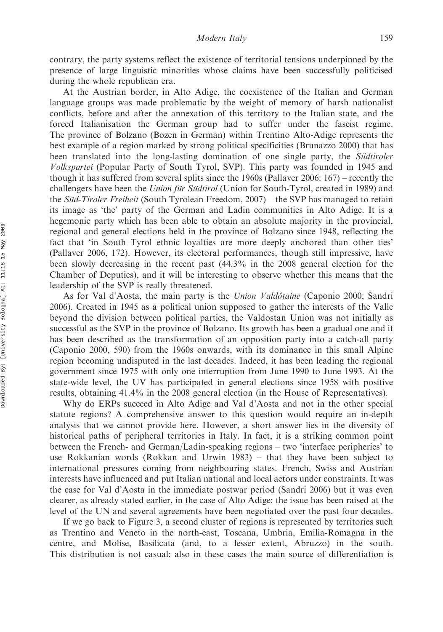contrary, the party systems reflect the existence of territorial tensions underpinned by the presence of large linguistic minorities whose claims have been successfully politicised during the whole republican era.

At the Austrian border, in Alto Adige, the coexistence of the Italian and German language groups was made problematic by the weight of memory of harsh nationalist conflicts, before and after the annexation of this territory to the Italian state, and the forced Italianisation the German group had to suffer under the fascist regime. The province of Bolzano (Bozen in German) within Trentino Alto-Adige represents the best example of a region marked by strong political specificities (Brunazzo 2000) that has been translated into the long-lasting domination of one single party, the Sudtivoler Volkspartei (Popular Party of South Tyrol, SVP). This party was founded in 1945 and though it has suffered from several splits since the 1960s (Pallaver 2006: 167) – recently the challengers have been the *Union für Südtirol* (Union for South-Tyrol, created in 1989) and the *Süd-Tiroler Freiheit* (South Tyrolean Freedom, 2007) – the SVP has managed to retain its image as 'the' party of the German and Ladin communities in Alto Adige. It is a hegemonic party which has been able to obtain an absolute majority in the provincial, regional and general elections held in the province of Bolzano since 1948, reflecting the fact that 'in South Tyrol ethnic loyalties are more deeply anchored than other ties' (Pallaver 2006, 172). However, its electoral performances, though still impressive, have been slowly decreasing in the recent past (44.3% in the 2008 general election for the Chamber of Deputies), and it will be interesting to observe whether this means that the leadership of the SVP is really threatened.

As for Val d'Aosta, the main party is the *Union Valdôtaine* (Caponio 2000; Sandri 2006). Created in 1945 as a political union supposed to gather the interests of the Valle beyond the division between political parties, the Valdostan Union was not initially as successful as the SVP in the province of Bolzano. Its growth has been a gradual one and it has been described as the transformation of an opposition party into a catch-all party (Caponio 2000, 590) from the 1960s onwards, with its dominance in this small Alpine region becoming undisputed in the last decades. Indeed, it has been leading the regional government since 1975 with only one interruption from June 1990 to June 1993. At the state-wide level, the UV has participated in general elections since 1958 with positive results, obtaining 41.4% in the 2008 general election (in the House of Representatives).

Why do ERPs succeed in Alto Adige and Val d'Aosta and not in the other special statute regions? A comprehensive answer to this question would require an in-depth analysis that we cannot provide here. However, a short answer lies in the diversity of historical paths of peripheral territories in Italy. In fact, it is a striking common point between the French- and German/Ladin-speaking regions – two 'interface peripheries' to use Rokkanian words (Rokkan and Urwin 1983) – that they have been subject to international pressures coming from neighbouring states. French, Swiss and Austrian interests have influenced and put Italian national and local actors under constraints. It was the case for Val d'Aosta in the immediate postwar period (Sandri 2006) but it was even clearer, as already stated earlier, in the case of Alto Adige: the issue has been raised at the level of the UN and several agreements have been negotiated over the past four decades.

If we go back to Figure 3, a second cluster of regions is represented by territories such as Trentino and Veneto in the north-east, Toscana, Umbria, Emilia-Romagna in the centre, and Molise, Basilicata (and, to a lesser extent, Abruzzo) in the south. This distribution is not casual: also in these cases the main source of differentiation is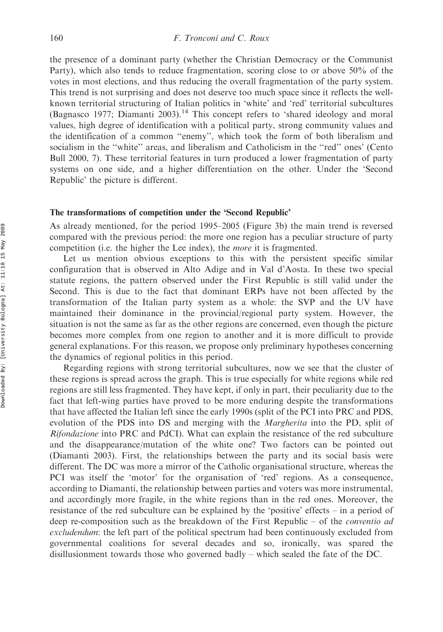the presence of a dominant party (whether the Christian Democracy or the Communist Party), which also tends to reduce fragmentation, scoring close to or above 50% of the votes in most elections, and thus reducing the overall fragmentation of the party system. This trend is not surprising and does not deserve too much space since it reflects the wellknown territorial structuring of Italian politics in 'white' and 'red' territorial subcultures (Bagnasco 1977; Diamanti 2003).<sup>14</sup> This concept refers to 'shared ideology and moral values, high degree of identification with a political party, strong community values and the identification of a common ''enemy'', which took the form of both liberalism and socialism in the ''white'' areas, and liberalism and Catholicism in the ''red'' ones' (Cento Bull 2000, 7). These territorial features in turn produced a lower fragmentation of party systems on one side, and a higher differentiation on the other. Under the 'Second Republic' the picture is different.

#### The transformations of competition under the 'Second Republic'

As already mentioned, for the period 1995–2005 (Figure 3b) the main trend is reversed compared with the previous period: the more one region has a peculiar structure of party competition (i.e. the higher the Lee index), the more it is fragmented.

Let us mention obvious exceptions to this with the persistent specific similar configuration that is observed in Alto Adige and in Val d'Aosta. In these two special statute regions, the pattern observed under the First Republic is still valid under the Second. This is due to the fact that dominant ERPs have not been affected by the transformation of the Italian party system as a whole: the SVP and the UV have maintained their dominance in the provincial/regional party system. However, the situation is not the same as far as the other regions are concerned, even though the picture becomes more complex from one region to another and it is more difficult to provide general explanations. For this reason, we propose only preliminary hypotheses concerning the dynamics of regional politics in this period.

Regarding regions with strong territorial subcultures, now we see that the cluster of these regions is spread across the graph. This is true especially for white regions while red regions are still less fragmented. They have kept, if only in part, their peculiarity due to the fact that left-wing parties have proved to be more enduring despite the transformations that have affected the Italian left since the early 1990s (split of the PCI into PRC and PDS, evolution of the PDS into DS and merging with the *Margherita* into the PD, split of Rifondazione into PRC and PdCI). What can explain the resistance of the red subculture and the disappearance/mutation of the white one? Two factors can be pointed out (Diamanti 2003). First, the relationships between the party and its social basis were different. The DC was more a mirror of the Catholic organisational structure, whereas the PCI was itself the 'motor' for the organisation of 'red' regions. As a consequence, according to Diamanti, the relationship between parties and voters was more instrumental, and accordingly more fragile, in the white regions than in the red ones. Moreover, the resistance of the red subculture can be explained by the 'positive' effects – in a period of deep re-composition such as the breakdown of the First Republic – of the conventio ad excludendum: the left part of the political spectrum had been continuously excluded from governmental coalitions for several decades and so, ironically, was spared the disillusionment towards those who governed badly – which sealed the fate of the DC.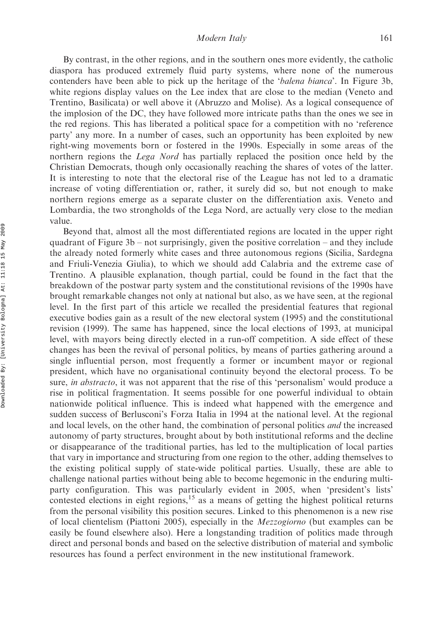Modern Italy 161

By contrast, in the other regions, and in the southern ones more evidently, the catholic diaspora has produced extremely fluid party systems, where none of the numerous contenders have been able to pick up the heritage of the 'balena bianca'. In Figure 3b, white regions display values on the Lee index that are close to the median (Veneto and Trentino, Basilicata) or well above it (Abruzzo and Molise). As a logical consequence of the implosion of the DC, they have followed more intricate paths than the ones we see in the red regions. This has liberated a political space for a competition with no 'reference party' any more. In a number of cases, such an opportunity has been exploited by new right-wing movements born or fostered in the 1990s. Especially in some areas of the northern regions the *Lega Nord* has partially replaced the position once held by the Christian Democrats, though only occasionally reaching the shares of votes of the latter. It is interesting to note that the electoral rise of the League has not led to a dramatic increase of voting differentiation or, rather, it surely did so, but not enough to make northern regions emerge as a separate cluster on the differentiation axis. Veneto and Lombardia, the two strongholds of the Lega Nord, are actually very close to the median value.

Beyond that, almost all the most differentiated regions are located in the upper right quadrant of Figure  $3b$  – not surprisingly, given the positive correlation – and they include the already noted formerly white cases and three autonomous regions (Sicilia, Sardegna and Friuli-Venezia Giulia), to which we should add Calabria and the extreme case of Trentino. A plausible explanation, though partial, could be found in the fact that the breakdown of the postwar party system and the constitutional revisions of the 1990s have brought remarkable changes not only at national but also, as we have seen, at the regional level. In the first part of this article we recalled the presidential features that regional executive bodies gain as a result of the new electoral system (1995) and the constitutional revision (1999). The same has happened, since the local elections of 1993, at municipal level, with mayors being directly elected in a run-off competition. A side effect of these changes has been the revival of personal politics, by means of parties gathering around a single influential person, most frequently a former or incumbent mayor or regional president, which have no organisational continuity beyond the electoral process. To be sure, *in abstracto*, it was not apparent that the rise of this 'personalism' would produce a rise in political fragmentation. It seems possible for one powerful individual to obtain nationwide political influence. This is indeed what happened with the emergence and sudden success of Berlusconi's Forza Italia in 1994 at the national level. At the regional and local levels, on the other hand, the combination of personal politics and the increased autonomy of party structures, brought about by both institutional reforms and the decline or disappearance of the traditional parties, has led to the multiplication of local parties that vary in importance and structuring from one region to the other, adding themselves to the existing political supply of state-wide political parties. Usually, these are able to challenge national parties without being able to become hegemonic in the enduring multiparty configuration. This was particularly evident in 2005, when 'president's lists' contested elections in eight regions, $1<sup>5</sup>$  as a means of getting the highest political returns from the personal visibility this position secures. Linked to this phenomenon is a new rise of local clientelism (Piattoni 2005), especially in the Mezzogiorno (but examples can be easily be found elsewhere also). Here a longstanding tradition of politics made through direct and personal bonds and based on the selective distribution of material and symbolic resources has found a perfect environment in the new institutional framework.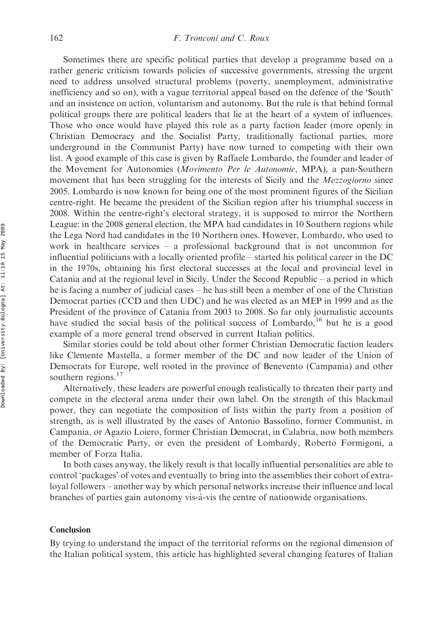Sometimes there are specific political parties that develop a programme based on a rather generic criticism towards policies of successive governments, stressing the urgent need to address unsolved structural problems (poverty, unemployment, administrative inefficiency and so on), with a vague territorial appeal based on the defence of the 'South' and an insistence on action, voluntarism and autonomy. But the rule is that behind formal political groups there are political leaders that lie at the heart of a system of influences. Those who once would have played this role as a party faction leader (more openly in Christian Democracy and the Socialist Party, traditionally factional parties, more underground in the Communist Party) have now turned to competing with their own list. A good example of this case is given by Raffaele Lombardo, the founder and leader of the Movement for Autonomies (Movimento Per le Autonomie, MPA), a pan-Southern movement that has been struggling for the interests of Sicily and the *Mezzogiorno* since 2005. Lombardo is now known for being one of the most prominent figures of the Sicilian centre-right. He became the president of the Sicilian region after his triumphal success in 2008. Within the centre-right's electoral strategy, it is supposed to mirror the Northern League: in the 2008 general election, the MPA had candidates in 10 Southern regions while the Lega Nord had candidates in the 10 Northern ones. However, Lombardo, who used to work in healthcare services – a professional background that is not uncommon for influential politicians with a locally oriented profile – started his political career in the DC in the 1970s, obtaining his first electoral successes at the local and provincial level in Catania and at the regional level in Sicily. Under the Second Republic – a period in which he is facing a number of judicial cases – he has still been a member of one of the Christian Democrat parties (CCD and then UDC) and he was elected as an MEP in 1999 and as the President of the province of Catania from 2003 to 2008. So far only journalistic accounts have studied the social basis of the political success of Lombardo,<sup>16</sup> but he is a good example of a more general trend observed in current Italian politics.

Similar stories could be told about other former Christian Democratic faction leaders like Clemente Mastella, a former member of the DC and now leader of the Union of Democrats for Europe, well rooted in the province of Benevento (Campania) and other southern regions. $17$ 

Alternatively, these leaders are powerful enough realistically to threaten their party and compete in the electoral arena under their own label. On the strength of this blackmail power, they can negotiate the composition of lists within the party from a position of strength, as is well illustrated by the cases of Antonio Bassolino, former Communist, in Campania, or Agazio Loiero, former Christian Democrat, in Calabria, now both members of the Democratic Party, or even the president of Lombardy, Roberto Formigoni, a member of Forza Italia.

In both cases anyway, the likely result is that locally influential personalities are able to control 'packages' of votes and eventually to bring into the assemblies their cohort of extraloyal followers – another way by which personal networks increase their influence and local branches of parties gain autonomy vis-a`-vis the centre of nationwide organisations.

### **Conclusion**

By trying to understand the impact of the territorial reforms on the regional dimension of the Italian political system, this article has highlighted several changing features of Italian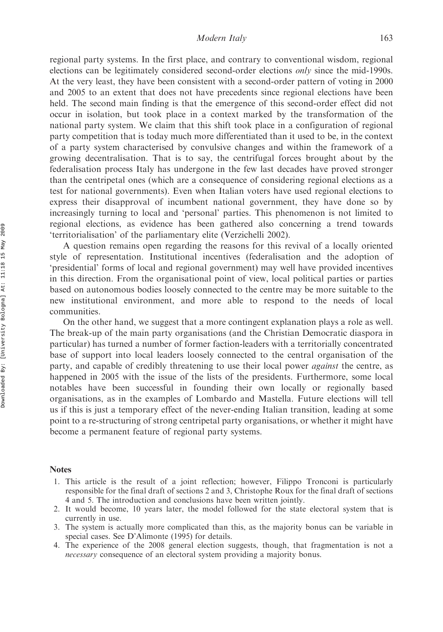regional party systems. In the first place, and contrary to conventional wisdom, regional elections can be legitimately considered second-order elections only since the mid-1990s. At the very least, they have been consistent with a second-order pattern of voting in 2000 and 2005 to an extent that does not have precedents since regional elections have been held. The second main finding is that the emergence of this second-order effect did not occur in isolation, but took place in a context marked by the transformation of the national party system. We claim that this shift took place in a configuration of regional party competition that is today much more differentiated than it used to be, in the context of a party system characterised by convulsive changes and within the framework of a growing decentralisation. That is to say, the centrifugal forces brought about by the federalisation process Italy has undergone in the few last decades have proved stronger than the centripetal ones (which are a consequence of considering regional elections as a test for national governments). Even when Italian voters have used regional elections to express their disapproval of incumbent national government, they have done so by increasingly turning to local and 'personal' parties. This phenomenon is not limited to regional elections, as evidence has been gathered also concerning a trend towards 'territorialisation' of the parliamentary elite (Verzichelli 2002).

A question remains open regarding the reasons for this revival of a locally oriented style of representation. Institutional incentives (federalisation and the adoption of 'presidential' forms of local and regional government) may well have provided incentives in this direction. From the organisational point of view, local political parties or parties based on autonomous bodies loosely connected to the centre may be more suitable to the new institutional environment, and more able to respond to the needs of local communities.

On the other hand, we suggest that a more contingent explanation plays a role as well. The break-up of the main party organisations (and the Christian Democratic diaspora in particular) has turned a number of former faction-leaders with a territorially concentrated base of support into local leaders loosely connected to the central organisation of the party, and capable of credibly threatening to use their local power against the centre, as happened in 2005 with the issue of the lists of the presidents. Furthermore, some local notables have been successful in founding their own locally or regionally based organisations, as in the examples of Lombardo and Mastella. Future elections will tell us if this is just a temporary effect of the never-ending Italian transition, leading at some point to a re-structuring of strong centripetal party organisations, or whether it might have become a permanent feature of regional party systems.

#### Notes

- 1. This article is the result of a joint reflection; however, Filippo Tronconi is particularly responsible for the final draft of sections 2 and 3, Christophe Roux for the final draft of sections 4 and 5. The introduction and conclusions have been written jointly.
- 2. It would become, 10 years later, the model followed for the state electoral system that is currently in use.
- 3. The system is actually more complicated than this, as the majority bonus can be variable in special cases. See D'Alimonte (1995) for details.
- 4. The experience of the 2008 general election suggests, though, that fragmentation is not a necessary consequence of an electoral system providing a majority bonus.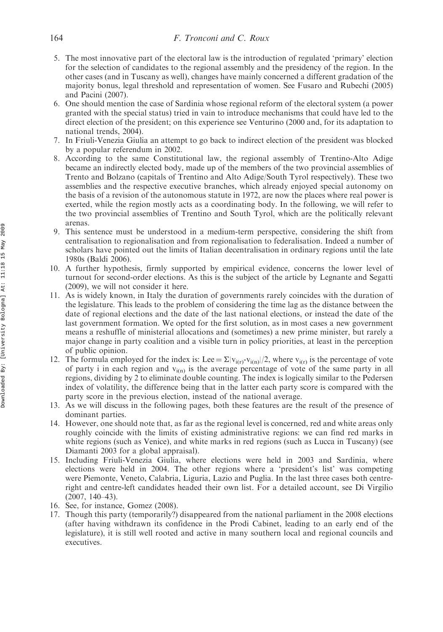- 5. The most innovative part of the electoral law is the introduction of regulated 'primary' election for the selection of candidates to the regional assembly and the presidency of the region. In the other cases (and in Tuscany as well), changes have mainly concerned a different gradation of the majority bonus, legal threshold and representation of women. See Fusaro and Rubechi (2005) and Pacini (2007).
- 6. One should mention the case of Sardinia whose regional reform of the electoral system (a power granted with the special status) tried in vain to introduce mechanisms that could have led to the direct election of the president; on this experience see Venturino (2000 and, for its adaptation to national trends, 2004).
- 7. In Friuli-Venezia Giulia an attempt to go back to indirect election of the president was blocked by a popular referendum in 2002.
- 8. According to the same Constitutional law, the regional assembly of Trentino-Alto Adige became an indirectly elected body, made up of the members of the two provincial assemblies of Trento and Bolzano (capitals of Trentino and Alto Adige/South Tyrol respectively). These two assemblies and the respective executive branches, which already enjoyed special autonomy on the basis of a revision of the autonomous statute in 1972, are now the places where real power is exerted, while the region mostly acts as a coordinating body. In the following, we will refer to the two provincial assemblies of Trentino and South Tyrol, which are the politically relevant arenas.
- 9. This sentence must be understood in a medium-term perspective, considering the shift from centralisation to regionalisation and from regionalisation to federalisation. Indeed a number of scholars have pointed out the limits of Italian decentralisation in ordinary regions until the late 1980s (Baldi 2006).
- 10. A further hypothesis, firmly supported by empirical evidence, concerns the lower level of turnout for second-order elections. As this is the subject of the article by Legnante and Segatti (2009), we will not consider it here.
- 11. As is widely known, in Italy the duration of governments rarely coincides with the duration of the legislature. This leads to the problem of considering the time lag as the distance between the date of regional elections and the date of the last national elections, or instead the date of the last government formation. We opted for the first solution, as in most cases a new government means a reshuffle of ministerial allocations and (sometimes) a new prime minister, but rarely a major change in party coalition and a visible turn in policy priorities, at least in the perception of public opinion.
- 12. The formula employed for the index is: Lee  $\sum |v_{i(r)}-v_{i(n)}|/2$ , where  $v_{i(r)}$  is the percentage of vote of party i in each region and  $v_{i(n)}$  is the average percentage of vote of the same party in all regions, dividing by 2 to eliminate double counting. The index is logically similar to the Pedersen index of volatility, the difference being that in the latter each party score is compared with the party score in the previous election, instead of the national average.
- 13. As we will discuss in the following pages, both these features are the result of the presence of dominant parties.
- 14. However, one should note that, as far as the regional level is concerned, red and white areas only roughly coincide with the limits of existing administrative regions: we can find red marks in white regions (such as Venice), and white marks in red regions (such as Lucca in Tuscany) (see Diamanti 2003 for a global appraisal).
- 15. Including Friuli-Venezia Giulia, where elections were held in 2003 and Sardinia, where elections were held in 2004. The other regions where a 'president's list' was competing were Piemonte, Veneto, Calabria, Liguria, Lazio and Puglia. In the last three cases both centreright and centre-left candidates headed their own list. For a detailed account, see Di Virgilio (2007, 140–43).
- 16. See, for instance, Gomez (2008).
- 17. Though this party (temporarily?) disappeared from the national parliament in the 2008 elections (after having withdrawn its confidence in the Prodi Cabinet, leading to an early end of the legislature), it is still well rooted and active in many southern local and regional councils and executives.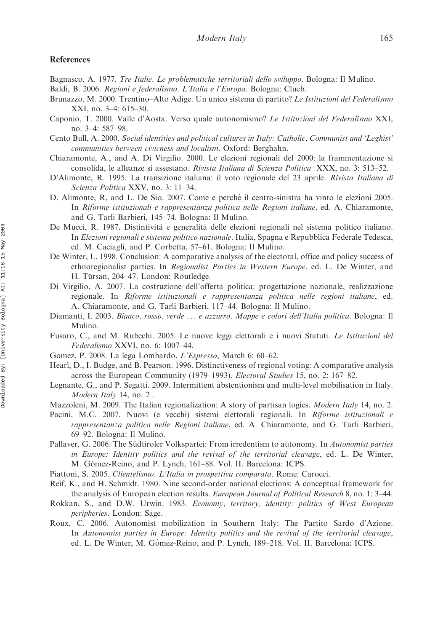## References

- Bagnasco, A. 1977. Tre Italie. Le problematiche territoriali dello sviluppo. Bologna: Il Mulino.
- Baldi, B. 2006. Regioni e federalismo. L'Italia e l'Europa. Bologna: Clueb.
- Brunazzo, M. 2000. Trentino–Alto Adige. Un unico sistema di partito? Le Istituzioni del Federalismo XXI, no. 3–4: 615–30.
- Caponio, T. 2000. Valle d'Aosta. Verso quale autonomismo? Le Istituzioni del Federalismo XXI, no. 3–4: 587–98.
- Cento Bull, A. 2000. Social identities and political cultures in Italy: Catholic, Communist and 'Leghist' communities between civicness and localism. Oxford: Berghahn.
- Chiaramonte, A., and A. Di Virgilio. 2000. Le elezioni regionali del 2000: la frammentazione si consolida, le alleanze si assestano. Rivista Italiana di Scienza Politica XXX, no. 3: 513–52.
- D'Alimonte, R. 1995. La transizione italiana: il voto regionale del 23 aprile. Rivista Italiana di Scienza Politica XXV, no. 3: 11–34.
- D. Alimonte, R, and L. De Sio. 2007. Come e perché il centro-sinistra ha vinto le elezioni 2005. In Riforme istituzionali e rappresentanza politica nelle Regioni italiane, ed. A. Chiaramonte, and G. Tarli Barbieri, 145–74. Bologna: Il Mulino.
- De Mucci, R. 1987. Distintività e generalità delle elezioni regionali nel sistema politico italiano. In Elezioni regionali e sistema politico nazionale. Italia, Spagna e Repubblica Federale Tedesca, ed. M. Caciagli, and P. Corbetta, 57–61. Bologna: Il Mulino.
- De Winter, L. 1998. Conclusion: A comparative analysis of the electoral, office and policy success of ethnoregionalist parties. In Regionalist Parties in Western Europe, ed. L. De Winter, and H. Türsan, 204–47. London: Routledge.
- Di Virgilio, A. 2007. La costruzione dell'offerta politica: progettazione nazionale, realizzazione regionale. In Riforme istituzionali e rappresentanza politica nelle regioni italiane, ed. A. Chiaramonte, and G. Tarli Barbieri, 117–44. Bologna: Il Mulino.
- Diamanti, I. 2003. Bianco, rosso, verde ... e azzurro. Mappe e colori dell'Italia politica. Bologna: Il Mulino.
- Fusaro, C., and M. Rubechi. 2005. Le nuove leggi elettorali e i nuovi Statuti. Le Istituzioni del Federalismo XXVI, no. 6: 1007–44.
- Gomez, P. 2008. La lega Lombardo. L'Espresso, March 6: 60–62.
- Hearl, D., I. Budge, and B. Pearson. 1996. Distinctiveness of regional voting: A comparative analysis across the European Community (1979–1993). Electoral Studies 15, no. 2: 167–82.
- Legnante, G., and P. Segatti. 2009. Intermittent abstentionism and multi-level mobilisation in Italy. Modern Italy 14, no. 2 .
- Mazzoleni, M. 2009. The Italian regionalization: A story of partisan logics. Modern Italy 14, no. 2.
- Pacini, M.C. 2007. Nuovi (e vecchi) sistemi elettorali regionali. In Riforme istituzionali e rappresentanza politica nelle Regioni italiane, ed. A. Chiaramonte, and G. Tarli Barbieri, 69–92. Bologna: Il Mulino.
- Pallaver, G. 2006. The Südtiroler Volkspartei: From irredentism to autonomy. In Autonomist parties in Europe: Identity politics and the revival of the territorial cleavage, ed. L. De Winter, M. Gómez-Reino, and P. Lynch, 161–88. Vol. II. Barcelona: ICPS.
- Piattoni, S. 2005. Clientelismo. L'Italia in prospettiva comparata. Rome: Carocci.
- Reif, K., and H. Schmidt. 1980. Nine second-order national elections: A conceptual framework for the analysis of European election results. European Journal of Political Research 8, no. 1: 3–44.
- Rokkan, S., and D.W. Urwin. 1983. Economy, territory, identity: politics of West European peripheries. London: Sage.
- Roux, C. 2006. Autonomist mobilization in Southern Italy: The Partito Sardo d'Azione. In Autonomist parties in Europe: Identity politics and the revival of the territorial cleavage, ed. L. De Winter, M. Gómez-Reino, and P. Lynch, 189–218. Vol. II. Barcelona: ICPS.